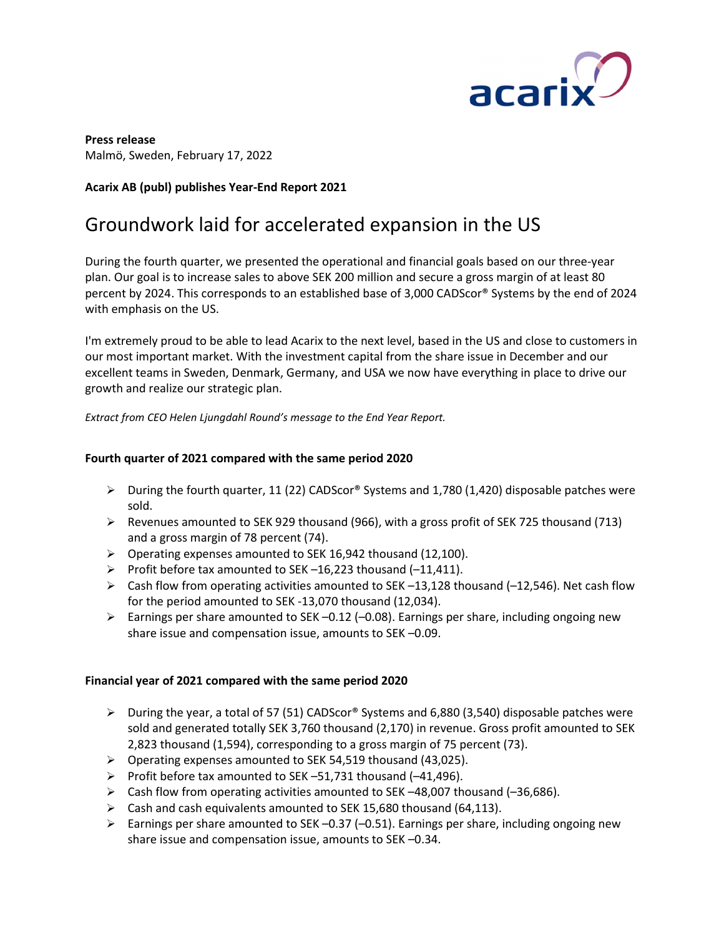

Press release Malmö, Sweden, February 17, 2022

## Acarix AB (publ) publishes Year-End Report 2021

# Groundwork laid for accelerated expansion in the US

During the fourth quarter, we presented the operational and financial goals based on our three-year plan. Our goal is to increase sales to above SEK 200 million and secure a gross margin of at least 80 percent by 2024. This corresponds to an established base of 3,000 CADScor® Systems by the end of 2024 with emphasis on the US.

I'm extremely proud to be able to lead Acarix to the next level, based in the US and close to customers in our most important market. With the investment capital from the share issue in December and our excellent teams in Sweden, Denmark, Germany, and USA we now have everything in place to drive our growth and realize our strategic plan.

Extract from CEO Helen Ljungdahl Round's message to the End Year Report.

## Fourth quarter of 2021 compared with the same period 2020

- $\triangleright$  During the fourth quarter, 11 (22) CADScor® Systems and 1,780 (1,420) disposable patches were sold.
- $\triangleright$  Revenues amounted to SEK 929 thousand (966), with a gross profit of SEK 725 thousand (713) and a gross margin of 78 percent (74).
- Operating expenses amounted to SEK 16,942 thousand (12,100).
- Profit before tax amounted to SEK  $-16,223$  thousand  $(-11,411)$ .
- $\triangleright$  Cash flow from operating activities amounted to SEK -13,128 thousand (-12,546). Net cash flow for the period amounted to SEK -13,070 thousand (12,034).
- Earnings per share amounted to SEK -0.12 (-0.08). Earnings per share, including ongoing new share issue and compensation issue, amounts to SEK –0.09.

## Financial year of 2021 compared with the same period 2020

- $\triangleright$  During the year, a total of 57 (51) CADScor® Systems and 6,880 (3,540) disposable patches were sold and generated totally SEK 3,760 thousand (2,170) in revenue. Gross profit amounted to SEK 2,823 thousand (1,594), corresponding to a gross margin of 75 percent (73).
- Operating expenses amounted to SEK 54,519 thousand (43,025).
- Profit before tax amounted to SEK  $-51,731$  thousand (-41,496).
- $\triangleright$  Cash flow from operating activities amounted to SEK -48,007 thousand (-36,686).
- $\triangleright$  Cash and cash equivalents amounted to SEK 15,680 thousand (64,113).
- Earnings per share amounted to SEK -0.37 (-0.51). Earnings per share, including ongoing new share issue and compensation issue, amounts to SEK –0.34.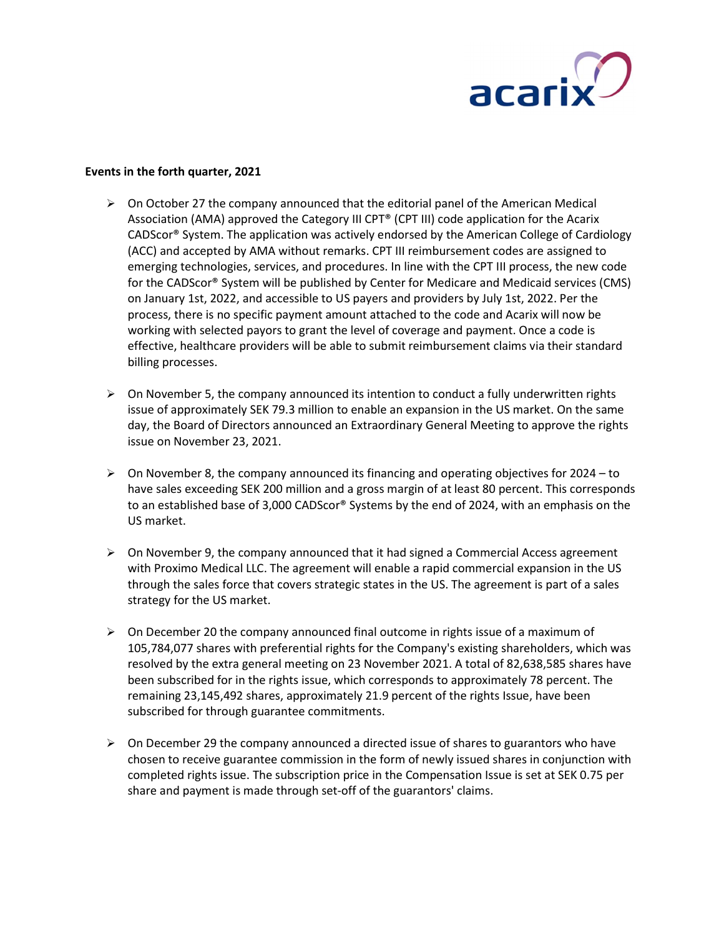

### Events in the forth quarter, 2021

- $\triangleright$  On October 27 the company announced that the editorial panel of the American Medical Association (AMA) approved the Category III CPT® (CPT III) code application for the Acarix CADScor® System. The application was actively endorsed by the American College of Cardiology (ACC) and accepted by AMA without remarks. CPT III reimbursement codes are assigned to emerging technologies, services, and procedures. In line with the CPT III process, the new code for the CADScor® System will be published by Center for Medicare and Medicaid services (CMS) on January 1st, 2022, and accessible to US payers and providers by July 1st, 2022. Per the process, there is no specific payment amount attached to the code and Acarix will now be working with selected payors to grant the level of coverage and payment. Once a code is effective, healthcare providers will be able to submit reimbursement claims via their standard billing processes.
- $\triangleright$  On November 5, the company announced its intention to conduct a fully underwritten rights issue of approximately SEK 79.3 million to enable an expansion in the US market. On the same day, the Board of Directors announced an Extraordinary General Meeting to approve the rights issue on November 23, 2021.
- $\triangleright$  On November 8, the company announced its financing and operating objectives for 2024 to have sales exceeding SEK 200 million and a gross margin of at least 80 percent. This corresponds to an established base of 3,000 CADScor® Systems by the end of 2024, with an emphasis on the US market.
- $\triangleright$  On November 9, the company announced that it had signed a Commercial Access agreement with Proximo Medical LLC. The agreement will enable a rapid commercial expansion in the US through the sales force that covers strategic states in the US. The agreement is part of a sales strategy for the US market.
- $\triangleright$  On December 20 the company announced final outcome in rights issue of a maximum of 105,784,077 shares with preferential rights for the Company's existing shareholders, which was resolved by the extra general meeting on 23 November 2021. A total of 82,638,585 shares have been subscribed for in the rights issue, which corresponds to approximately 78 percent. The remaining 23,145,492 shares, approximately 21.9 percent of the rights Issue, have been subscribed for through guarantee commitments.
- $\triangleright$  On December 29 the company announced a directed issue of shares to guarantors who have chosen to receive guarantee commission in the form of newly issued shares in conjunction with completed rights issue. The subscription price in the Compensation Issue is set at SEK 0.75 per share and payment is made through set-off of the guarantors' claims.